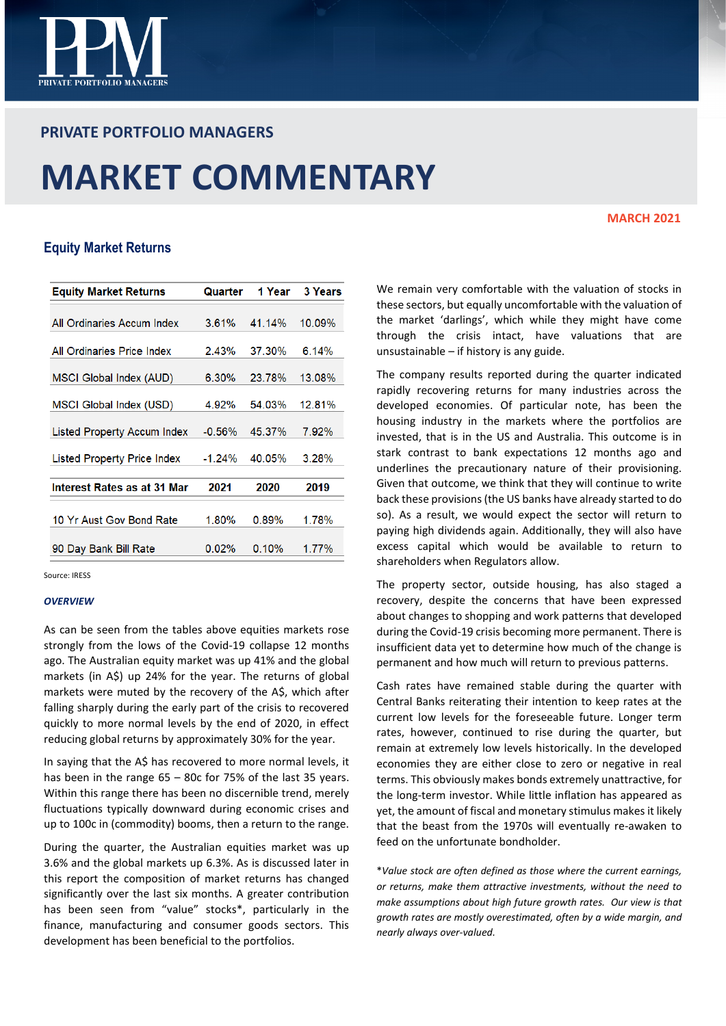

# **PRIVATE PORTFOLIO MANAGERS**

# **MARKET COMMENTARY**

### **MARCH 2021**

# **Equity Market Returns**

| <b>Equity Market Returns</b>       | Quarter   | 1 Year | <b>3 Years</b> |
|------------------------------------|-----------|--------|----------------|
|                                    |           |        |                |
| All Ordinaries Accum Index         | 3.61%     | 41.14% | 10.09%         |
| All Ordinaries Price Index         | 2.43%     | 37.30% | 6.14%          |
| MSCI Global Index (AUD)            | 6.30%     | 23.78% | 13.08%         |
| MSCI Global Index (USD)            | 4.92%     | 54.03% | 12.81%         |
| Listed Property Accum Index        | $-0.56\%$ | 45.37% | 7.92%          |
| <b>Listed Property Price Index</b> | $-1.24%$  | 40.05% | 3.28%          |
| Interest Rates as at 31 Mar        | 2021      | 2020   | 2019           |
| 10 Yr Aust Gov Bond Rate           | 1.80%     | 0.89%  | 1.78%          |
| 90 Day Bank Bill Rate              | 0.02%     | 0.10%  | 1.77%          |

Source: IRESS

#### *OVERVIEW*

As can be seen from the tables above equities markets rose strongly from the lows of the Covid-19 collapse 12 months ago. The Australian equity market was up 41% and the global markets (in A\$) up 24% for the year. The returns of global markets were muted by the recovery of the A\$, which after falling sharply during the early part of the crisis to recovered quickly to more normal levels by the end of 2020, in effect reducing global returns by approximately 30% for the year.

In saying that the A\$ has recovered to more normal levels, it has been in the range 65 – 80c for 75% of the last 35 years. Within this range there has been no discernible trend, merely fluctuations typically downward during economic crises and up to 100c in (commodity) booms, then a return to the range.

During the quarter, the Australian equities market was up 3.6% and the global markets up 6.3%. As is discussed later in this report the composition of market returns has changed significantly over the last six months. A greater contribution has been seen from "value" stocks\*, particularly in the finance, manufacturing and consumer goods sectors. This development has been beneficial to the portfolios.

We remain very comfortable with the valuation of stocks in these sectors, but equally uncomfortable with the valuation of the market 'darlings', which while they might have come through the crisis intact, have valuations that are unsustainable – if history is any guide.

The company results reported during the quarter indicated rapidly recovering returns for many industries across the developed economies. Of particular note, has been the housing industry in the markets where the portfolios are invested, that is in the US and Australia. This outcome is in stark contrast to bank expectations 12 months ago and underlines the precautionary nature of their provisioning. Given that outcome, we think that they will continue to write back these provisions (the US banks have already started to do so). As a result, we would expect the sector will return to paying high dividends again. Additionally, they will also have excess capital which would be available to return to shareholders when Regulators allow.

The property sector, outside housing, has also staged a recovery, despite the concerns that have been expressed about changes to shopping and work patterns that developed during the Covid-19 crisis becoming more permanent. There is insufficient data yet to determine how much of the change is permanent and how much will return to previous patterns.

Cash rates have remained stable during the quarter with Central Banks reiterating their intention to keep rates at the current low levels for the foreseeable future. Longer term rates, however, continued to rise during the quarter, but remain at extremely low levels historically. In the developed economies they are either close to zero or negative in real terms. This obviously makes bonds extremely unattractive, for the long-term investor. While little inflation has appeared as yet, the amount of fiscal and monetary stimulus makes it likely that the beast from the 1970s will eventually re-awaken to feed on the unfortunate bondholder.

\**Value stock are often defined as those where the current earnings, or returns, make them attractive investments, without the need to make assumptions about high future growth rates. Our view is that growth rates are mostly overestimated, often by a wide margin, and nearly always over-valued.*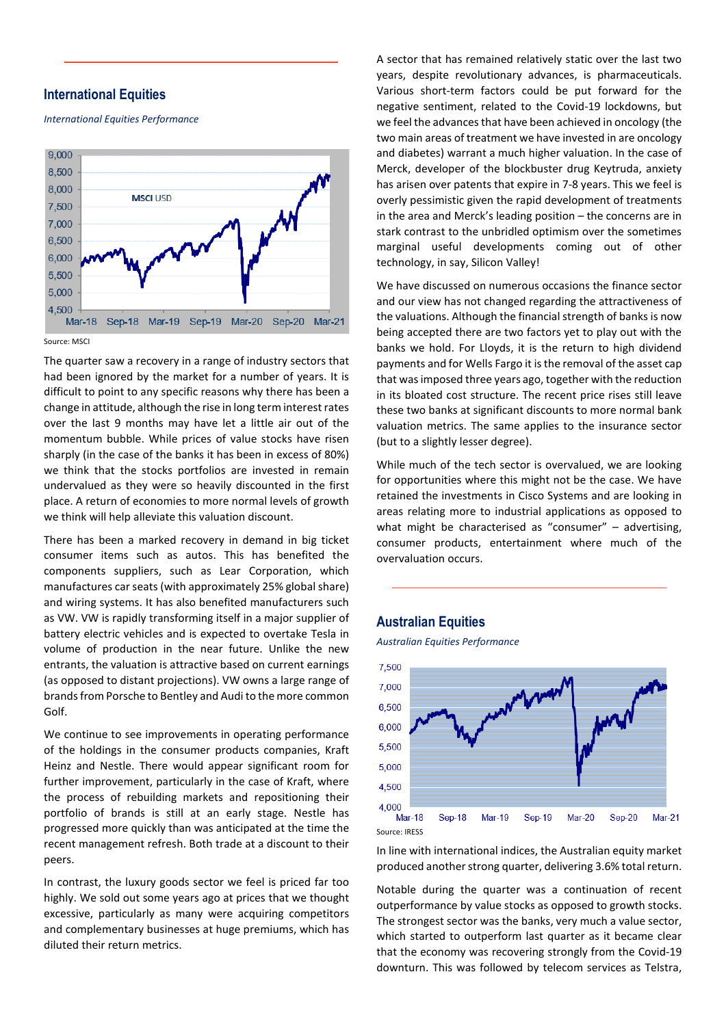## **International Equities**

*International Equities Performance*



Source: MSC

The quarter saw a recovery in a range of industry sectors that had been ignored by the market for a number of years. It is difficult to point to any specific reasons why there has been a change in attitude, although the rise in long term interest rates over the last 9 months may have let a little air out of the momentum bubble. While prices of value stocks have risen sharply (in the case of the banks it has been in excess of 80%) we think that the stocks portfolios are invested in remain undervalued as they were so heavily discounted in the first place. A return of economies to more normal levels of growth we think will help alleviate this valuation discount.

There has been a marked recovery in demand in big ticket consumer items such as autos. This has benefited the components suppliers, such as Lear Corporation, which manufactures car seats (with approximately 25% global share) and wiring systems. It has also benefited manufacturers such as VW. VW is rapidly transforming itself in a major supplier of battery electric vehicles and is expected to overtake Tesla in volume of production in the near future. Unlike the new entrants, the valuation is attractive based on current earnings (as opposed to distant projections). VW owns a large range of brands from Porsche to Bentley and Audi to the more common Golf.

We continue to see improvements in operating performance of the holdings in the consumer products companies, Kraft Heinz and Nestle. There would appear significant room for further improvement, particularly in the case of Kraft, where the process of rebuilding markets and repositioning their portfolio of brands is still at an early stage. Nestle has progressed more quickly than was anticipated at the time the recent management refresh. Both trade at a discount to their peers.

In contrast, the luxury goods sector we feel is priced far too highly. We sold out some years ago at prices that we thought excessive, particularly as many were acquiring competitors and complementary businesses at huge premiums, which has diluted their return metrics.

A sector that has remained relatively static over the last two years, despite revolutionary advances, is pharmaceuticals. Various short-term factors could be put forward for the negative sentiment, related to the Covid-19 lockdowns, but we feel the advances that have been achieved in oncology (the two main areas of treatment we have invested in are oncology and diabetes) warrant a much higher valuation. In the case of Merck, developer of the blockbuster drug Keytruda, anxiety has arisen over patents that expire in 7-8 years. This we feel is overly pessimistic given the rapid development of treatments in the area and Merck's leading position – the concerns are in stark contrast to the unbridled optimism over the sometimes marginal useful developments coming out of other technology, in say, Silicon Valley!

We have discussed on numerous occasions the finance sector and our view has not changed regarding the attractiveness of the valuations. Although the financial strength of banks is now being accepted there are two factors yet to play out with the banks we hold. For Lloyds, it is the return to high dividend payments and for Wells Fargo it is the removal of the asset cap that was imposed three years ago, together with the reduction in its bloated cost structure. The recent price rises still leave these two banks at significant discounts to more normal bank valuation metrics. The same applies to the insurance sector (but to a slightly lesser degree).

While much of the tech sector is overvalued, we are looking for opportunities where this might not be the case. We have retained the investments in Cisco Systems and are looking in areas relating more to industrial applications as opposed to what might be characterised as "consumer" - advertising, consumer products, entertainment where much of the overvaluation occurs.

## **Australian Equities**

*Australian Equities Performance*



In line with international indices, the Australian equity market produced another strong quarter, delivering 3.6% total return.

Notable during the quarter was a continuation of recent outperformance by value stocks as opposed to growth stocks. The strongest sector was the banks, very much a value sector, which started to outperform last quarter as it became clear that the economy was recovering strongly from the Covid-19 downturn. This was followed by telecom services as Telstra,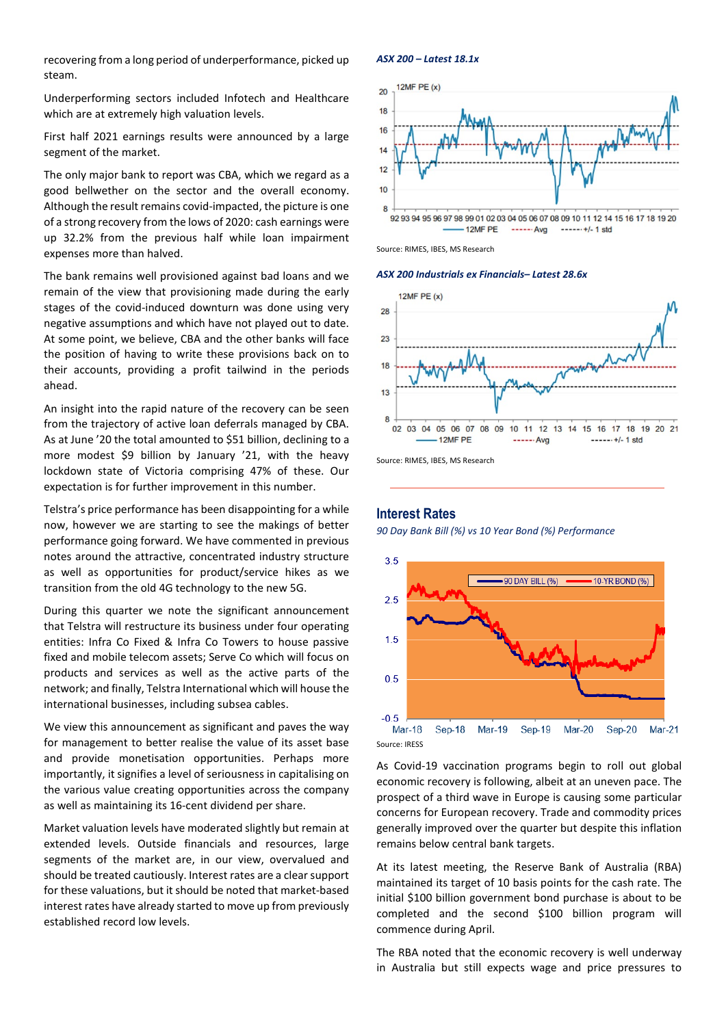recovering from a long period of underperformance, picked up steam.

Underperforming sectors included Infotech and Healthcare which are at extremely high valuation levels.

First half 2021 earnings results were announced by a large segment of the market.

The only major bank to report was CBA, which we regard as a good bellwether on the sector and the overall economy. Although the result remains covid-impacted, the picture is one of a strong recovery from the lows of 2020: cash earnings were up 32.2% from the previous half while loan impairment expenses more than halved.

The bank remains well provisioned against bad loans and we remain of the view that provisioning made during the early stages of the covid-induced downturn was done using very negative assumptions and which have not played out to date. At some point, we believe, CBA and the other banks will face the position of having to write these provisions back on to their accounts, providing a profit tailwind in the periods ahead.

An insight into the rapid nature of the recovery can be seen from the trajectory of active loan deferrals managed by CBA. As at June '20 the total amounted to \$51 billion, declining to a more modest \$9 billion by January '21, with the heavy lockdown state of Victoria comprising 47% of these. Our expectation is for further improvement in this number.

Telstra's price performance has been disappointing for a while now, however we are starting to see the makings of better performance going forward. We have commented in previous notes around the attractive, concentrated industry structure as well as opportunities for product/service hikes as we transition from the old 4G technology to the new 5G.

During this quarter we note the significant announcement that Telstra will restructure its business under four operating entities: Infra Co Fixed & Infra Co Towers to house passive fixed and mobile telecom assets; Serve Co which will focus on products and services as well as the active parts of the network; and finally, Telstra International which will house the international businesses, including subsea cables.

We view this announcement as significant and paves the way for management to better realise the value of its asset base and provide monetisation opportunities. Perhaps more importantly, it signifies a level of seriousness in capitalising on the various value creating opportunities across the company as well as maintaining its 16-cent dividend per share.

Market valuation levels have moderated slightly but remain at extended levels. Outside financials and resources, large segments of the market are, in our view, overvalued and should be treated cautiously. Interest rates are a clear support for these valuations, but it should be noted that market-based interest rates have already started to move up from previously established record low levels.

#### *ASX 200 – Latest 18.1x*



Source: RIMES, IBES, MS Research

#### *ASX 200 Industrials ex Financials– Latest 28.6x*



Source: RIMES, IBES, MS Research

## **Interest Rates**

*90 Day Bank Bill (%) vs 10 Year Bond (%) Performance*



As Covid-19 vaccination programs begin to roll out global economic recovery is following, albeit at an uneven pace. The prospect of a third wave in Europe is causing some particular concerns for European recovery. Trade and commodity prices generally improved over the quarter but despite this inflation remains below central bank targets.

At its latest meeting, the Reserve Bank of Australia (RBA) maintained its target of 10 basis points for the cash rate. The initial \$100 billion government bond purchase is about to be completed and the second \$100 billion program will commence during April.

The RBA noted that the economic recovery is well underway in Australia but still expects wage and price pressures to